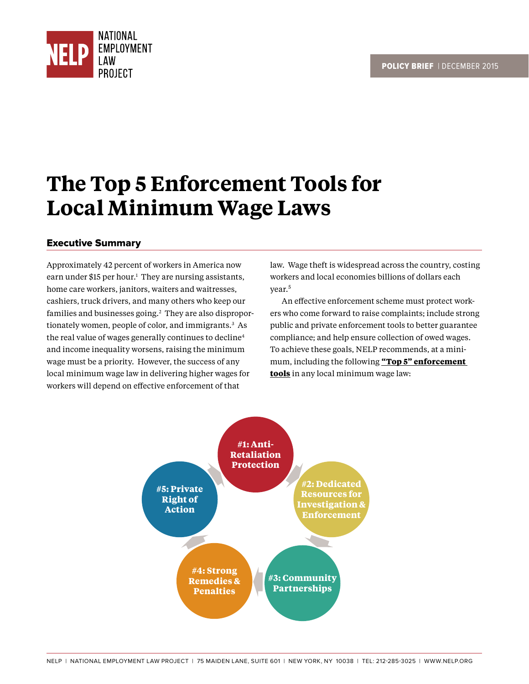

# **The Top 5 Enforcement Tools for Local Minimum Wage Laws**

## Executive Summary

Approximately 42 percent of workers in America now earn under \$15 per hour.<sup>1</sup> They are nursing assistants, home care workers, janitors, waiters and waitresses, cashiers, truck drivers, and many others who keep our families and businesses going.<sup>2</sup> They are also disproportionately women, people of color, and immigrants.3 As the real value of wages generally continues to decline<sup>4</sup> and income inequality worsens, raising the minimum wage must be a priority. However, the success of any local minimum wage law in delivering higher wages for workers will depend on effective enforcement of that

law. Wage theft is widespread across the country, costing workers and local economies billions of dollars each year.<sup>5</sup>

An effective enforcement scheme must protect workers who come forward to raise complaints; include strong public and private enforcement tools to better guarantee compliance; and help ensure collection of owed wages. To achieve these goals, NELP recommends, at a minimum, including the following **"Top 5" enforcement tools** in any local minimum wage law:

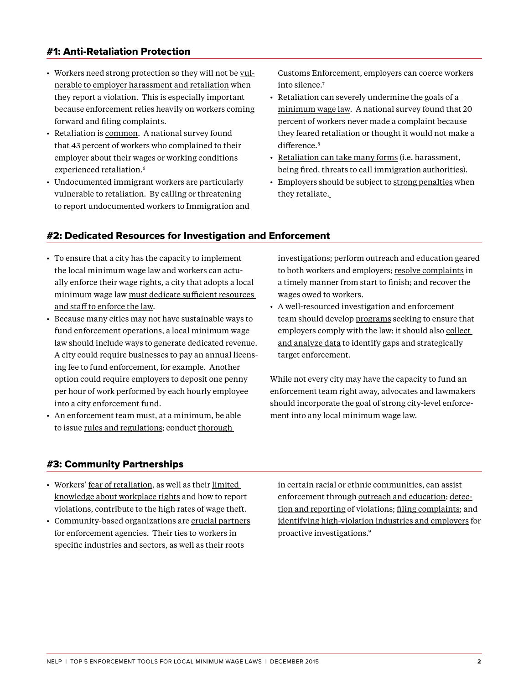## #1: Anti-Retaliation Protection

- Workers need strong protection so they will not be vulnerable to employer harassment and retaliation when they report a violation. This is especially important because enforcement relies heavily on workers coming forward and filing complaints.
- Retaliation is common. A national survey found that 43 percent of workers who complained to their employer about their wages or working conditions experienced retaliation.<sup>6</sup>
- Undocumented immigrant workers are particularly vulnerable to retaliation. By calling or threatening to report undocumented workers to Immigration and

Customs Enforcement, employers can coerce workers into silence.7

- Retaliation can severely undermine the goals of a minimum wage law. A national survey found that 20 percent of workers never made a complaint because they feared retaliation or thought it would not make a difference.<sup>8</sup>
- Retaliation can take many forms (i.e. harassment, being fired, threats to call immigration authorities).
- Employers should be subject to strong penalties when they retaliate.

### #2: Dedicated Resources for Investigation and Enforcement

- To ensure that a city has the capacity to implement the local minimum wage law and workers can actually enforce their wage rights, a city that adopts a local minimum wage law must dedicate sufficient resources and staff to enforce the law.
- Because many cities may not have sustainable ways to fund enforcement operations, a local minimum wage law should include ways to generate dedicated revenue. A city could require businesses to pay an annual licensing fee to fund enforcement, for example. Another option could require employers to deposit one penny per hour of work performed by each hourly employee into a city enforcement fund.
- An enforcement team must, at a minimum, be able to issue rules and regulations; conduct thorough

investigations; perform outreach and education geared to both workers and employers; resolve complaints in a timely manner from start to finish; and recover the wages owed to workers.

• A well-resourced investigation and enforcement team should develop programs seeking to ensure that employers comply with the law; it should also collect and analyze data to identify gaps and strategically target enforcement.

While not every city may have the capacity to fund an enforcement team right away, advocates and lawmakers should incorporate the goal of strong city-level enforcement into any local minimum wage law.

#### #3: Community Partnerships

- Workers' fear of retaliation, as well as their limited knowledge about workplace rights and how to report violations, contribute to the high rates of wage theft.
- Community-based organizations are crucial partners for enforcement agencies. Their ties to workers in specific industries and sectors, as well as their roots

in certain racial or ethnic communities, can assist enforcement through outreach and education; detection and reporting of violations; filing complaints; and identifying high-violation industries and employers for proactive investigations.9